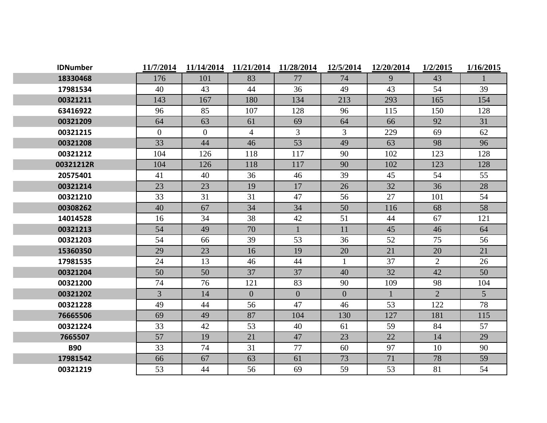| <b>IDNumber</b> | 11/7/2014      | 11/14/2014     | 11/21/2014     | 11/28/2014     | 12/5/2014      | 12/20/2014 | 1/2/2015       | 1/16/2015      |
|-----------------|----------------|----------------|----------------|----------------|----------------|------------|----------------|----------------|
| 18330468        | 176            | 101            | 83             | 77             | 74             | 9          | 43             |                |
| 17981534        | 40             | 43             | 44             | 36             | 49             | 43         | 54             | 39             |
| 00321211        | 143            | 167            | 180            | 134            | 213            | 293        | 165            | 154            |
| 63416922        | 96             | 85             | 107            | 128            | 96             | 115        | 150            | 128            |
| 00321209        | 64             | 63             | 61             | 69             | 64             | 66         | 92             | 31             |
| 00321215        | $\overline{0}$ | $\overline{0}$ | $\overline{4}$ | $\overline{3}$ | 3              | 229        | 69             | 62             |
| 00321208        | 33             | 44             | 46             | 53             | 49             | 63         | 98             | 96             |
| 00321212        | 104            | 126            | 118            | 117            | 90             | 102        | 123            | 128            |
| 00321212R       | 104            | 126            | 118            | 117            | 90             | 102        | 123            | 128            |
| 20575401        | 41             | 40             | 36             | 46             | 39             | 45         | 54             | 55             |
| 00321214        | 23             | 23             | 19             | 17             | 26             | 32         | 36             | 28             |
| 00321210        | 33             | 31             | 31             | 47             | 56             | 27         | 101            | 54             |
| 00308262        | 40             | 67             | 34             | 34             | 50             | 116        | 68             | 58             |
| 14014528        | 16             | 34             | 38             | 42             | 51             | 44         | 67             | 121            |
| 00321213        | 54             | 49             | 70             |                | 11             | 45         | 46             | 64             |
| 00321203        | 54             | 66             | 39             | 53             | 36             | 52         | 75             | 56             |
| 15360350        | 29             | 23             | 16             | 19             | 20             | 21         | 20             | 21             |
| 17981535        | 24             | 13             | 46             | 44             | $\mathbf{1}$   | 37         | 2              | 26             |
| 00321204        | 50             | 50             | 37             | 37             | 40             | 32         | 42             | 50             |
| 00321200        | 74             | 76             | 121            | 83             | 90             | 109        | 98             | 104            |
| 00321202        | $\overline{3}$ | 14             | $\overline{0}$ | $\overline{0}$ | $\overline{0}$ |            | $\overline{2}$ | 5 <sup>1</sup> |
| 00321228        | 49             | 44             | 56             | 47             | 46             | 53         | 122            | 78             |
| 76665506        | 69             | 49             | 87             | 104            | 130            | 127        | 181            | 115            |
| 00321224        | 33             | 42             | 53             | 40             | 61             | 59         | 84             | 57             |
| 7665507         | 57             | 19             | 21             | 47             | 23             | 22         | 14             | 29             |
| <b>B90</b>      | 33             | 74             | 31             | 77             | 60             | 97         | 10             | 90             |
| 17981542        | 66             | 67             | 63             | 61             | 73             | 71         | 78             | 59             |
| 00321219        | 53             | 44             | 56             | 69             | 59             | 53         | 81             | 54             |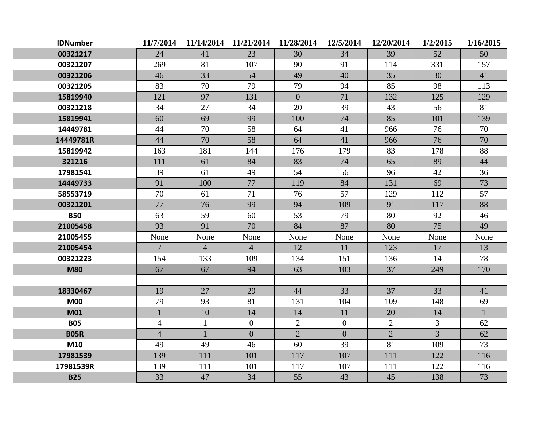| <b>IDNumber</b> | 11/7/2014      | 11/14/2014     | 11/21/2014     | 11/28/2014     | 12/5/2014      | 12/20/2014     | 1/2/2015       | 1/16/2015    |
|-----------------|----------------|----------------|----------------|----------------|----------------|----------------|----------------|--------------|
| 00321217        | 24             | 41             | 23             | 30             | 34             | 39             | 52             | 50           |
| 00321207        | 269            | 81             | 107            | 90             | 91             | 114            | 331            | 157          |
| 00321206        | 46             | 33             | 54             | 49             | 40             | 35             | 30             | 41           |
| 00321205        | 83             | 70             | 79             | 79             | 94             | 85             | 98             | 113          |
| 15819940        | 121            | 97             | 131            | $\overline{0}$ | 71             | 132            | 125            | 129          |
| 00321218        | 34             | 27             | 34             | 20             | 39             | 43             | 56             | 81           |
| 15819941        | 60             | 69             | 99             | 100            | 74             | 85             | 101            | 139          |
| 14449781        | 44             | 70             | 58             | 64             | 41             | 966            | 76             | 70           |
| 14449781R       | 44             | 70             | 58             | 64             | 41             | 966            | 76             | 70           |
| 15819942        | 163            | 181            | 144            | 176            | 179            | 83             | 178            | 88           |
| 321216          | 111            | 61             | 84             | 83             | 74             | 65             | 89             | 44           |
| 17981541        | 39             | 61             | 49             | 54             | 56             | 96             | 42             | 36           |
| 14449733        | 91             | 100            | 77             | 119            | 84             | 131            | 69             | 73           |
| 58553719        | 70             | 61             | 71             | 76             | 57             | 129            | 112            | 57           |
| 00321201        | 77             | 76             | 99             | 94             | 109            | 91             | 117            | 88           |
| <b>B50</b>      | 63             | 59             | 60             | 53             | 79             | 80             | 92             | 46           |
| 21005458        | 93             | 91             | 70             | 84             | 87             | 80             | 75             | 49           |
| 21005455        | None           | None           | None           | None           | None           | None           | None           | None         |
| 21005454        | $\overline{7}$ | $\overline{4}$ | $\overline{4}$ | 12             | 11             | 123            | 17             | 13           |
| 00321223        | 154            | 133            | 109            | 134            | 151            | 136            | 14             | 78           |
| <b>M80</b>      | 67             | 67             | 94             | 63             | 103            | 37             | 249            | 170          |
|                 |                |                |                |                |                |                |                |              |
| 18330467        | 19             | 27             | 29             | 44             | 33             | 37             | 33             | 41           |
| <b>M00</b>      | 79             | 93             | 81             | 131            | 104            | 109            | 148            | 69           |
| <b>M01</b>      | $\mathbf{1}$   | 10             | 14             | 14             | 11             | 20             | 14             | $\mathbf{1}$ |
| <b>B05</b>      | $\overline{4}$ | $\mathbf{1}$   | $\overline{0}$ | $\overline{2}$ | $\overline{0}$ | $\overline{2}$ | 3              | 62           |
| <b>B05R</b>     | $\overline{4}$ | $\mathbf{1}$   | $\overline{0}$ | $\overline{2}$ | $\overline{0}$ | $\overline{2}$ | $\overline{3}$ | 62           |
| M10             | 49             | 49             | 46             | 60             | 39             | 81             | 109            | 73           |
| 17981539        | 139            | 111            | 101            | 117            | 107            | 111            | 122            | 116          |
| 17981539R       | 139            | 111            | 101            | 117            | 107            | 111            | 122            | 116          |
| <b>B25</b>      | 33             | 47             | 34             | 55             | 43             | 45             | 138            | 73           |